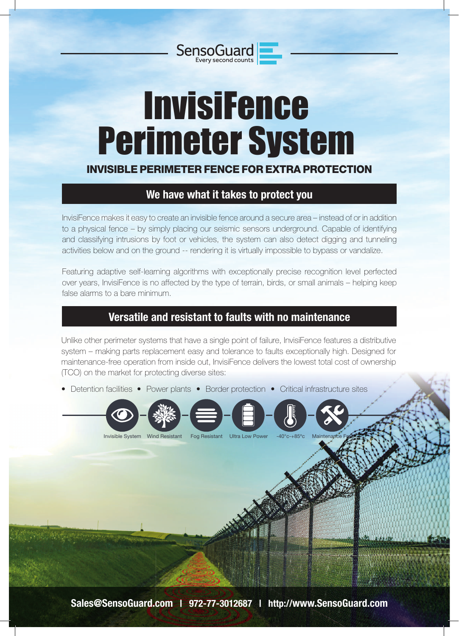# **InvisiFence** Perimeter System

SensoGuard

### INVISIBLE PERIMETER FENCE FOR EXTRA PROTECTION

# **We have what it takes to protect you**

InvisiFence makes it easy to create an invisible fence around a secure area – instead of or in addition to a physical fence – by simply placing our seismic sensors underground. Capable of identifying and classifying intrusions by foot or vehicles, the system can also detect digging and tunneling activities below and on the ground -- rendering it is virtually impossible to bypass or vandalize.

Featuring adaptive self-learning algorithms with exceptionally precise recognition level perfected over years, InvisiFence is no affected by the type of terrain, birds, or small animals – helping keep false alarms to a bare minimum.

## **Versatile and resistant to faults with no maintenance**

Unlike other perimeter systems that have a single point of failure, InvisiFence features a distributive system – making parts replacement easy and tolerance to faults exceptionally high. Designed for maintenance-free operation from inside out, InvisiFence delivers the lowest total cost of ownership (TCO) on the market for protecting diverse sites:

• Detention facilities • Power plants • Border protection • Critical infrastructure sites

Invisible System Wind Resistant Fog Resistant Ultra Low Power